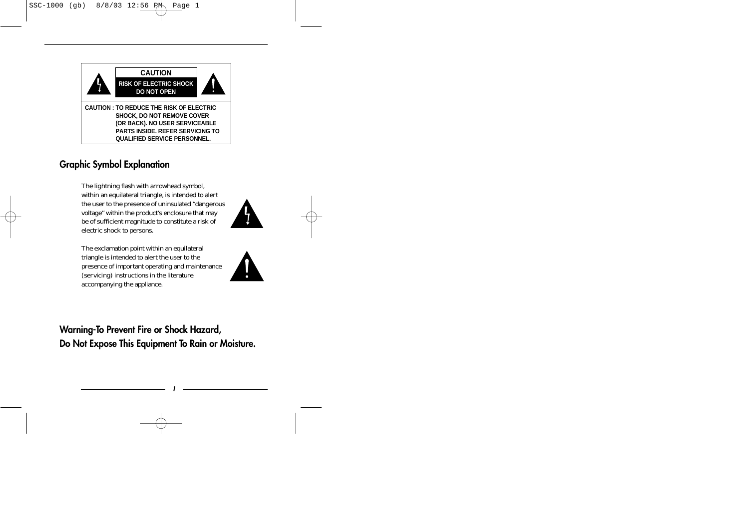

## **Graphic Symbol Explanation**

The lightning flash with arrowhead symbol, within an equilateral triangle, is intended to alert the user to the presence of uninsulated "dangerous voltage" within the product's enclosure that may be of sufficient magnitude to constitute a risk of electric shock to persons.

The exclamation point within an equilateral triangle is intended to alert the user to the presence of important operating and maintenance (servicing) instructions in the literature accompanying the appliance.





**Warning-To Prevent Fire or Shock Hazard, Do Not Expose This Equipment To Rain or Moisture.**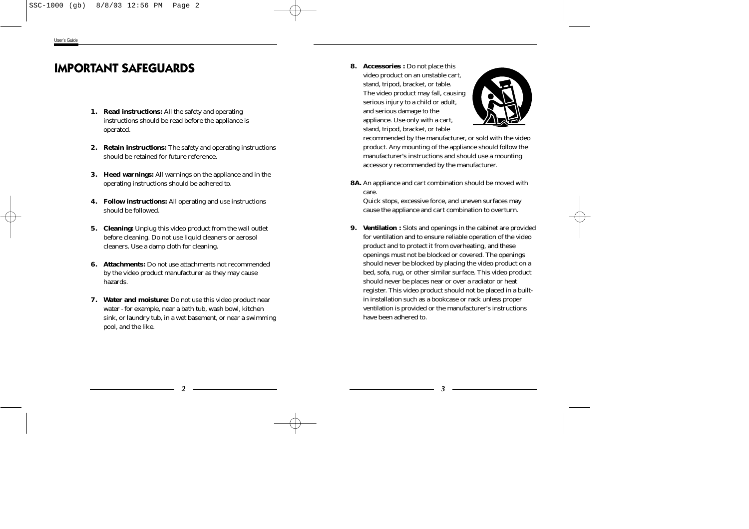## **IMPORTANT SAFEGUARDS**

- **1. Read instructions:** All the safety and operating instructions should be read before the appliance is operated.
- **2. Retain instructions:** The safety and operating instructions should be retained for future reference.
- **3. Heed warnings:** All warnings on the appliance and in the operating instructions should be adhered to.
- **4. Follow instructions:** All operating and use instructions should be followed.
- **5. Cleaning:** Unplug this video product from the wall outlet before cleaning. Do not use liquid cleaners or aerosol cleaners. Use a damp cloth for cleaning.
- **6. Attachments:** Do not use attachments not recommended by the video product manufacturer as they may cause hazards.
- **7. Water and moisture:** Do not use this video product near water - for example, near a bath tub, wash bowl, kitchen sink, or laundry tub, in a wet basement, or near a swimming pool, and the like.

**8. Accessories :** Do not place this video product on an unstable cart, stand, tripod, bracket, or table. The video product may fall, causing serious injury to a child or adult, and serious damage to the appliance. Use only with a cart, stand, tripod, bracket, or table



recommended by the manufacturer, or sold with the video product. Any mounting of the appliance should follow the manufacturer's instructions and should use a mounting accessory recommended by the manufacturer.

**8A.** An appliance and cart combination should be moved with care.

Quick stops, excessive force, and uneven surfaces may cause the appliance and cart combination to overturn.

**9. Ventilation :** Slots and openings in the cabinet are provided for ventilation and to ensure reliable operation of the video product and to protect it from overheating, and these openings must not be blocked or covered. The openings should never be blocked by placing the video product on a bed, sofa, rug, or other similar surface. This video product should never be places near or over a radiator or heat register. This video product should not be placed in a builtin installation such as a bookcase or rack unless proper ventilation is provided or the manufacturer's instructions have been adhered to.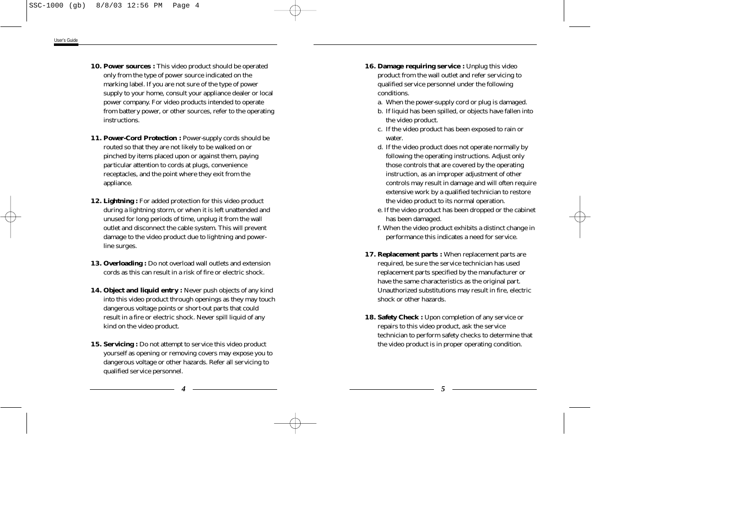- **10. Power sources :** This video product should be operated only from the type of power source indicated on the marking label. If you are not sure of the type of power supply to your home, consult your appliance dealer or local power company. For video products intended to operate from battery power, or other sources, refer to the operating instructions.
- **11. Power-Cord Protection :** Power-supply cords should be routed so that they are not likely to be walked on or pinched by items placed upon or against them, paying particular attention to cords at plugs, convenience receptacles, and the point where they exit from the appliance.
- **12. Lightning :** For added protection for this video product during a lightning storm, or when it is left unattended and unused for long periods of time, unplug it from the wall outlet and disconnect the cable system. This will prevent damage to the video product due to lightning and powerline surges.
- **13. Overloading :** Do not overload wall outlets and extension cords as this can result in a risk of fire or electric shock.
- **14. Object and liquid entry :** Never push objects of any kind into this video product through openings as they may touch dangerous voltage points or short-out parts that could result in a fire or electric shock. Never spill liquid of any kind on the video product.
- **15. Servicing :** Do not attempt to service this video product yourself as opening or removing covers may expose you to dangerous voltage or other hazards. Refer all servicing to qualified service personnel.
- **16. Damage requiring service :** Unplug this video product from the wall outlet and refer servicing to qualified service personnel under the following conditions.
	- a. When the power-supply cord or plug is damaged.
	- b. If liquid has been spilled, or objects have fallen into the video product.
	- c. If the video product has been exposed to rain or water.
	- d. If the video product does not operate normally by following the operating instructions. Adjust only those controls that are covered by the operating instruction, as an improper adjustment of other controls may result in damage and will often require extensive work by a qualified technician to restore the video product to its normal operation.
	- e. If the video product has been dropped or the cabinet has been damaged.
	- f. When the video product exhibits a distinct change in performance this indicates a need for service.
- **17. Replacement parts :** When replacement parts are required, be sure the service technician has used replacement parts specified by the manufacturer or have the same characteristics as the original part. Unauthorized substitutions may result in fire, electric shock or other hazards.
- **18. Safety Check :** Upon completion of any service or repairs to this video product, ask the service technician to perform safety checks to determine that the video product is in proper operating condition.

*4*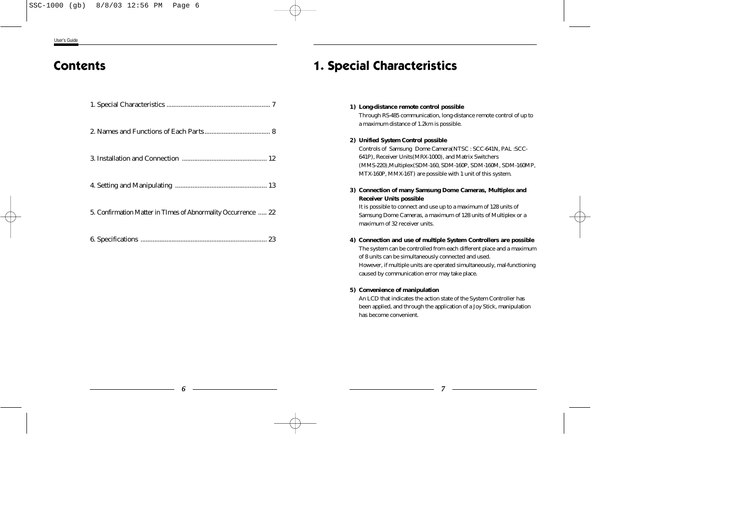## **Contents**

| 5. Confirmation Matter in TImes of Abnormality Occurrence  22 |
|---------------------------------------------------------------|
|                                                               |

## **1. Special Characteristics**

## **1) Long-distance remote control possible**

Through RS-485 communication, long-distance remote control of up to a maximum distance of 1.2km is possible.

## **2) Unified System Control possible**

Controls of Samsung Dome Camera(NTSC : SCC-641N, PAL :SCC-641P), Receiver Units(MRX-1000), and Matrix Switchers (MMS-220),Multiplex(SDM-160, SDM-160P, SDM-160M, SDM-160MP, MTX-160P, MMX-16T) are possible with 1 unit of this system.

## **3) Connection of many Samsung Dome Cameras, Multiplex and Receiver Units possible**

It is possible to connect and use up to a maximum of 128 units of Samsung Dome Cameras, a maximum of 128 units of Multiplex or a maximum of 32 receiver units.

## **4) Connection and use of multiple System Controllers are possible**

The system can be controlled from each different place and a maximum of 8 units can be simultaneously connected and used. However, if multiple units are operated simultaneously, mal-functioning caused by communication error may take place.

### **5) Convenience of manipulation**

An LCD that indicates the action state of the System Controller has been applied, and through the application of a Joy Stick, manipulation has become convenient.

*7*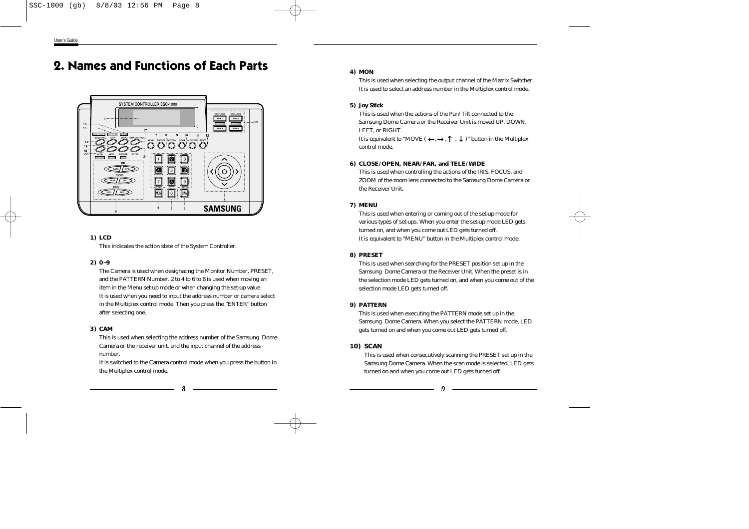## **2. Names and Functions of Each Parts**



## **1) LCD**

This indicates the action state of the System Controller.

## **2) 0~9**

The Camera is used when designating the Monitor Number, PRESET, and the PATTERN Number. 2 to 4 to 6 to 8 is used when moving an item in the Menu set-up mode or when changing the set-up value. It is used when you need to input the address number or camera select in the Multiplex control mode. Then you press the "ENTER" button after selecting one.

## **3) CAM**

This is used when selecting the address number of the Samsung Dome Camera or the receiver unit, and the input channel of the address number.

It is switched to the Camera control mode when you press the button in the Multiplex control mode.

## **4) MON**

This is used when selecting the output channel of the Matrix Switcher. It is used to select an address number in the Multiplex control mode.

## **5) Joy Stick**

This is used when the actions of the Pan/Tilt connected to the Samsung Dome Camera or the Receiver Unit is moved UP, DOWN, LEFT, or RIGHT.

It is equivalent to "MOVE (  $\longleftrightarrow$  ,  $\uparrow\,$  ,  $\,\downarrow\,$  )" button in the Multiplex control mode.

## **6) CLOSE/OPEN, NEAR/FAR, and TELE/WIDE**

This is used when controlling the actions of the IRIS, FOCUS, and ZOOM of the zoom lens connected to the Samsung Dome Camera or the Receiver Unit.

## **7) MENU**

This is used when entering or coming out of the set-up mode for various types of set-ups. When you enter the set-up mode LED gets turned on, and when you come out LED gets turned off. It is equivalent to "MENU" button in the Multiplex control mode.

## **8) PRESET**

This is used when searching for the PRESET position set up in the Samsung Dome Camera or the Receiver Unit. When the preset is in the selection mode LED gets turned on, and when you come out of the selection mode LED gets turned off.

## **9) PATTERN**

This is used when executing the PATTERN mode set up in the Samsung Dome Camera. When you select the PATTERN mode, LED gets turned on and when you come out LED gets turned off.

## **10) SCAN**

This is used when consecutively scanning the PRESET set up in the Samsung Dome Camera. When the scan mode is selected, LED gets turned on and when you come out LED gets turned off.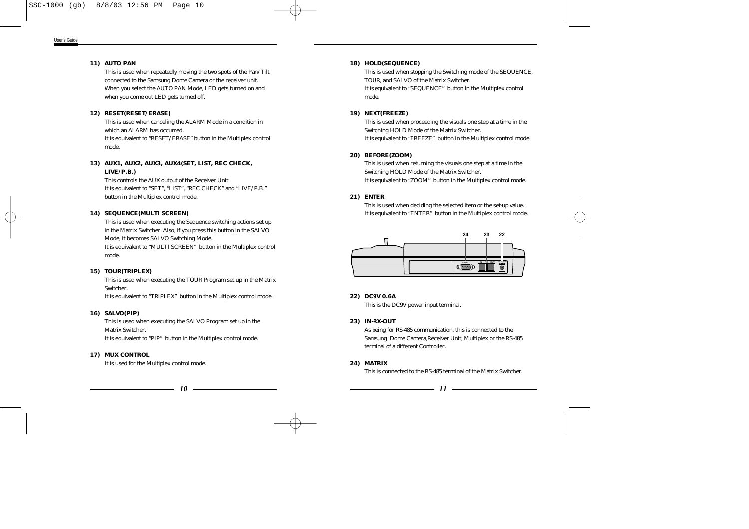## **11) AUTO PAN**

This is used when repeatedly moving the two spots of the Pan/Tilt connected to the Samsung Dome Camera or the receiver unit. When you select the AUTO PAN Mode, LED gets turned on and when you come out LED gets turned off.

### **12) RESET(RESET/ERASE)**

This is used when canceling the ALARM Mode in a condition in which an ALARM has occurred.

It is equivalent to "RESET/ERASE" button in the Multiplex control mode.

## **13) AUX1, AUX2, AUX3, AUX4(SET, LIST, REC CHECK, LIVE/P.B.)**

This controls the AUX output of the Receiver Unit It is equivalent to "SET", "LIST", "REC CHECK" and "LIVE/P.B." button in the Multiplex control mode.

### **14) SEQUENCE(MULTI SCREEN)**

This is used when executing the Sequence switching actions set up in the Matrix Switcher. Also, if you press this button in the SALVO Mode, it becomes SALVO Switching Mode.

It is equivalent to "MULTI SCREEN" button in the Multiplex control mode.

#### **15) TOUR(TRIPLEX)**

This is used when executing the TOUR Program set up in the Matrix Switcher.

It is equivalent to "TRIPLEX" button in the Multiplex control mode.

## **16) SALVO(PIP)**

This is used when executing the SALVO Program set up in the Matrix Switcher.

It is equivalent to "PIP" button in the Multiplex control mode.

#### **17) MUX CONTROL**

It is used for the Multiplex control mode.

## **18) HOLD(SEQUENCE)**

This is used when stopping the Switching mode of the SEQUENCE, TOUR, and SALVO of the Matrix Switcher.

It is equivalent to "SEQUENCE" button in the Multiplex control mode.

#### **19) NEXT(FREEZE)**

This is used when proceeding the visuals one step at a time in the Switching HOLD Mode of the Matrix Switcher. It is equivalent to "FREEZE" button in the Multiplex control mode.

## **20) BEFORE(ZOOM)**

This is used when returning the visuals one step at a time in the Switching HOLD Mode of the Matrix Switcher. It is equivalent to "ZOOM" button in the Multiplex control mode.

## **21) ENTER**

This is used when deciding the selected item or the set-up value. It is equivalent to "ENTER" button in the Multiplex control mode.



#### **22) DC9V 0.6A**

This is the DC9V power input terminal.

## **23) IN-RX-OUT**

As being for RS-485 communication, this is connected to the Samsung Dome Camera,Receiver Unit, Multiplex or the RS-485 terminal of a different Controller.

**24) MATRIX**

This is connected to the RS-485 terminal of the Matrix Switcher.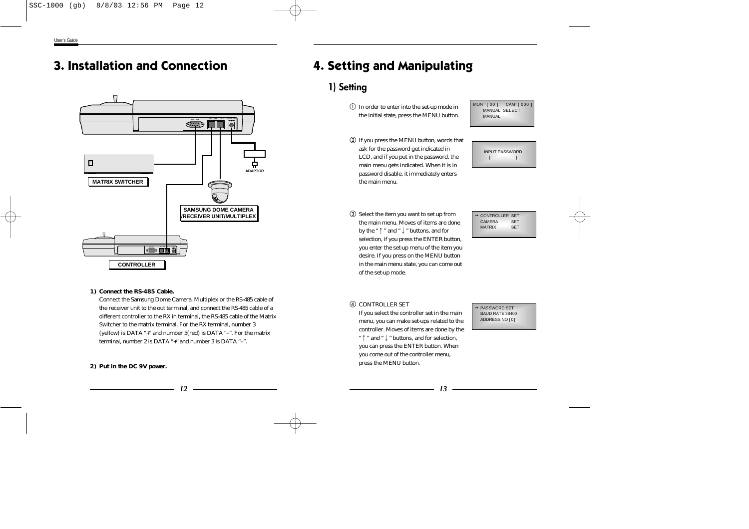## **3. Installation and Connection**



## **1) Connect the RS-485 Cable.**

Connect the Samsung Dome Camera, Multiplex or the RS-485 cable of the receiver unit to the out terminal, and connect the RS-485 cable of a different controller to the RX in terminal, the RS-485 cable of the Matrix Switcher to the matrix terminal. For the RX terminal, number 3 (yellow) is DATA "+" and number 5(red) is DATA "–". For the matrix terminal, number 2 is DATA "+" and number 3 is DATA "–".

#### **2) Put in the DC 9V power.**

## **4. Setting and Manipulating**

## **1) Setting**

 $\mathbb O$  In order to enter into the set-up mode in the initial state, press the MENU button. MON= [ 00 ] CAM= [ 000 ] MANUAL SELECT MANUAL

 If you press the MENU button, words that ask for the password get indicated in LCD, and if you put in the password, the main menu gets indicated. When it is in password disable, it immediately enters the main menu.



 Select the item you want to set up from the main menu. Moves of items are done by the "  $\uparrow$  " and "  $\downarrow$  " buttons, and for desire. If you press on the MENU button of the set-up mode.

<sup>→</sup> CONTROLLER SET CAMERA SET MATRIX SET

# selection, if you press the ENTER button, you enter the set-up menu of the item you in the main menu state, you can come out

## **4 CONTROLLER SET**

If you select the controller set in the main menu, you can make set-ups related to the controller. Moves of items are done by the " ↑ " and " ↓ " buttons, and for selection, you can press the ENTER button. When you come out of the controller menu, press the MENU button.

#### <sup>→</sup> PASSWORD SET BAUD RATE 38400 ADDRESS NO [ 0]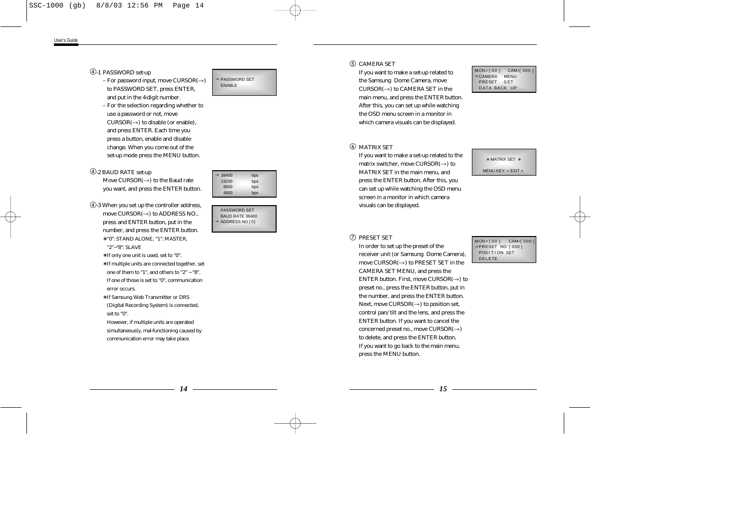## -1 PASSWORD set-up

- For password input, move  $CIIRSOR(\rightarrow)$ to PASSWORD SET, press ENTER, and put in the 4-digit number.
- For the selection regarding whether to use a password or not, move  $CURSOR(\rightarrow)$  to disable (or enable). and press ENTER. Each time you press a button, enable and disable change. When you come out of the set-up mode press the MENU button.

## -2 BAUD RATE set-up

Move  $CURSOR(\rightarrow)$  to the Baud rate you want, and press the ENTER button.

-3 When you set up the controller address, move CURSOR $(\rightarrow)$  to ADDRESS NO., press and ENTER button, put in the number, and press the ENTER button. ∗ "0": STAND ALONE, "1": MASTER,

"2"~"8": SLAVE

- ∗ If only one unit is used, set to "0".
- ∗ If multiple units are connected together, set one of them to "1", and others to "2"  $\sim$  "8". If one of those is set to "0", communication error occurs.
- ∗ If Samsung Web Transmitter or DRS (Digital Recording System) is connected, set to "0".

However, if multiple units are operated simultaneously, mal-functioning caused by communication error may take place.



 $\rightarrow$  38400 bps<br>19200 bps 19200 9600 bps 4800 bps

PASSWORD SET BAUD RATE 38400  $\rightarrow$  ADDRESS NO [0]

### CAMERA SET

If you want to make a set-up related to the Samsung Dome Camera, move  $CIIRSOR(\rightarrow)$  to CAMERA SET in the main menu, and press the ENTER button. After this, you can set up while watching the OSD menu screen in a monitor in which camera visuals can be displayed.

#### MON=[00] <mark>CAM=[000]</mark><br>→CAMERA MENU  $\rightarrow$ CAMERA PRESET S ET DATA BACK UP

## MATRIX SET

If you want to make a set-up related to the matrix switcher, move  $\text{CURSOR}(\rightarrow)$  to MATRIX SET in the main menu, and press the ENTER button. After this, you can set up while watching the OSD menu screen in a monitor in which camera visuals can be displayed.

#### ∗ MATRIX SET <sup>∗</sup>

MENU KEY: < EXIT >

#### PRESET SET

In order to set up the preset of the receiver unit (or Samsung Dome Camera), move  $\text{CURSOR}(\rightarrow)$  to PRESET SET in the CAMERA SET MENU, and press the ENTER button. First, move  $CURSOR(\rightarrow)$  to preset no., press the ENTER button, put in the number, and press the ENTER button. Next, move  $\text{CURSOR}(\rightarrow)$  to position set, control pan/tilt and the lens, and press the ENTER button. If you want to cancel the concerned preset no., move  $CURSOR(\rightarrow)$ to delete, and press the ENTER button. If you want to go back to the main menu, press the MENU button.

MON=[00] CAM=[000] <sup>→</sup>PRESET NO [ 000 ] POSITION SET DELETE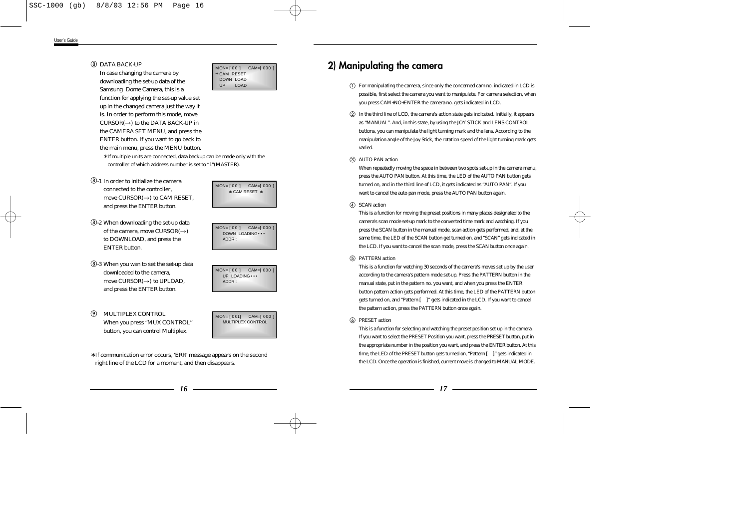### DATA BACK-UP

In case changing the camera by downloading the set-up data of the Samsung Dome Camera, this is a function for applying the set-up value set up in the changed camera just the way it is. In order to perform this mode, move  $CURSOR(\rightarrow)$  to the DATA BACK-UP in the CAMERA SET MENU, and press the ENTER button. If you want to go back to the main menu, press the MENU button.

∗ If multiple units are connected, data backup can be made only with the controller of which address number is set to "1"(MASTER).

- -1 In order to initialize the camera connected to the controller, move  $CURSOR(\rightarrow)$  to CAM RESET. and press the ENTER button.
- -2 When downloading the set-up data of the camera, move CURSOR $(\rightarrow)$ to DOWNLOAD, and press the ENTER button.
- -3 When you wan to set the set-up data downloaded to the camera, move  $\text{CURSOR}(\rightarrow)$  to UPLOAD. and press the ENTER button.
- $\circledcirc$ MULTIPLEX CONTROL When you press "MUX CONTROL" button, you can control Multiplex.



MON=[00] CAM=[000]  $\rightarrow$ CAM RESET DOWN LOAD UP LOAD



 $MON = [ 00 ]$  CAM= $[ 000 ]$ UP LOADING ••• ADDR :

 $MON = [ 0011$  CAM=[000 ] MULTIPLEX CONTROL

∗ If communication error occurs, 'ERR' message appears on the second right line of the LCD for a moment, and then disappears.

## **2) Manipulating the camera**

- For manipulating the camera, since only the concerned cam no. indicated in LCD is possible, first select the camera you want to manipulate. For camera selection, when you press CAM+NO+ENTER the camera no. gets indicated in LCD.
- In the third line of LCD, the camera's action state gets indicated. Initially, it appears as "MANUAL". And, in this state, by using the JOY STICK and LENS CONTROL buttons, you can manipulate the light turning mark and the lens. According to the manipulation angle of the Joy Stick, the rotation speed of the light turning mark gets varied.

#### AUTO PAN action

When repeatedly moving the space in between two spots set-up in the camera menu, press the AUTO PAN button. At this time, the LED of the AUTO PAN button gets turned on, and in the third line of LCD, it gets indicated as "AUTO PAN". If you want to cancel the auto pan mode, press the AUTO PAN button again.

#### (4) SCAN action

This is a function for moving the preset positions in many places designated to the camera's scan mode set-up mark to the converted time mark and watching. If you press the SCAN button in the manual mode, scan action gets performed, and, at the same time, the LED of the SCAN button get turned on, and "SCAN" gets indicated in the LCD. If you want to cancel the scan mode, press the SCAN button once again.

#### PATTERN action

This is a function for watching 30 seconds of the camera's moves set up by the user according to the camera's pattern mode set-up. Press the PATTERN button in the manual state, put in the pattern no. you want, and when you press the ENTER button pattern action gets performed. At this time, the LED of the PATTERN button gets turned on, and "Pattern [ ]" gets indicated in the LCD. If you want to cancel the pattern action, press the PATTERN button once again.

#### PRESET action

This is a function for selecting and watching the preset position set up in the camera. If you want to select the PRESET Position you want, press the PRESET button, put in the appropriate number in the position you want, and press the ENTER button. At this time, the LED of the PRESET button gets turned on, "Pattern [ ]" gets indicated in the LCD. Once the operation is finished, current move is changed to MANUAL MODE.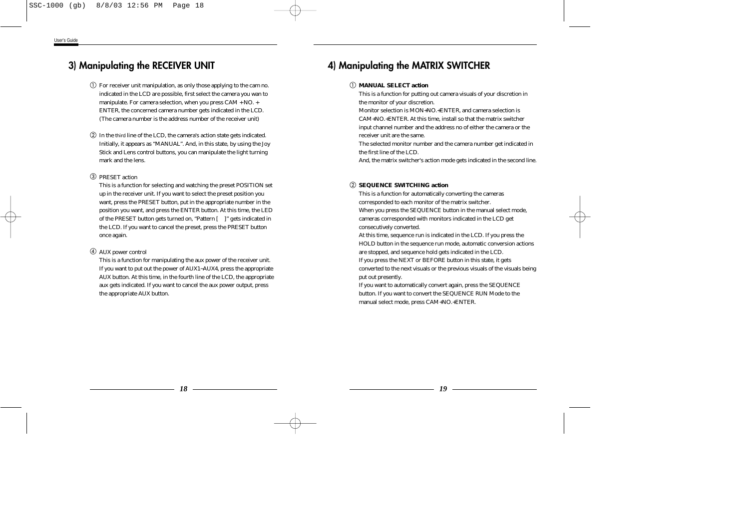## **3) Manipulating the RECEIVER UNIT**

- For receiver unit manipulation, as only those applying to the cam no. indicated in the LCD are possible, first select the camera you wan to manipulate. For camera selection, when you press CAM + NO. + ENTER, the concerned camera number gets indicated in the LCD. (The camera number is the address number of the receiver unit)
- In the third line of the LCD, the camera's action state gets indicated. Initially, it appears as "MANUAL". And, in this state, by using the Joy Stick and Lens control buttons, you can manipulate the light turning mark and the lens.

## PRESET action

This is a function for selecting and watching the preset POSITION set up in the receiver unit. If you want to select the preset position you want, press the PRESET button, put in the appropriate number in the position you want, and press the ENTER button. At this time, the LED of the PRESET button gets turned on, "Pattern [ ]" gets indicated in the LCD. If you want to cancel the preset, press the PRESET button once again.

## AUX power control

This is a function for manipulating the aux power of the receiver unit. If you want to put out the power of AUX1~AUX4, press the appropriate AUX button. At this time, in the fourth line of the LCD, the appropriate aux gets indicated. If you want to cancel the aux power output, press the appropriate AUX button.

## **4) Manipulating the MATRIX SWITCHER**

## - **MANUAL SELECT action**

This is a function for putting out camera visuals of your discretion in the monitor of your discretion.

Monitor selection is MON+NO.+ENTER, and camera selection is CAM+NO.+ENTER. At this time, install so that the matrix switcher input channel number and the address no of either the camera or the receiver unit are the same.

The selected monitor number and the camera number get indicated in the first line of the LCD.

And, the matrix switcher's action mode gets indicated in the second line.

## **SEQUENCE SWITCHING action**

This is a function for automatically converting the cameras corresponded to each monitor of the matrix switcher. When you press the SEQUENCE button in the manual select mode, cameras corresponded with monitors indicated in the LCD get consecutively converted.

At this time, sequence run is indicated in the LCD. If you press the HOLD button in the sequence run mode, automatic conversion actions are stopped, and sequence hold gets indicated in the LCD. If you press the NEXT or BEFORE button in this state, it gets converted to the next visuals or the previous visuals of the visuals being put out presently.

If you want to automatically convert again, press the SEQUENCE button. If you want to convert the SEQUENCE RUN Mode to the manual select mode, press CAM+NO.+ENTER.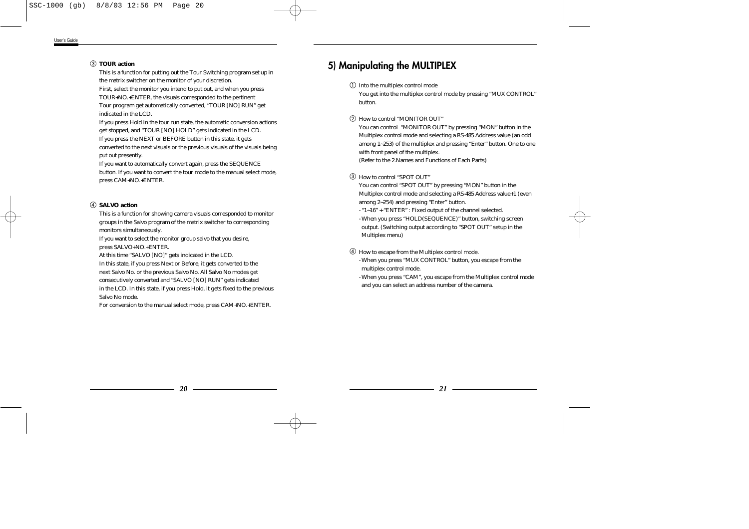## **TOUR action**

This is a function for putting out the Tour Switching program set up in the matrix switcher on the monitor of your discretion. First, select the monitor you intend to put out, and when you press

TOUR+NO.+ENTER, the visuals corresponded to the pertinent Tour program get automatically converted, "TOUR [NO] RUN" get indicated in the LCD.

If you press Hold in the tour run state, the automatic conversion actions get stopped, and "TOUR [NO] HOLD" gets indicated in the LCD. If you press the NEXT or BEFORE button in this state, it gets converted to the next visuals or the previous visuals of the visuals being put out presently.

If you want to automatically convert again, press the SEQUENCE button. If you want to convert the tour mode to the manual select mode, press CAM+NO.+ENTER.

## **SALVO action**

This is a function for showing camera visuals corresponded to monitor groups in the Salvo program of the matrix switcher to corresponding monitors simultaneously.

If you want to select the monitor group salvo that you desire, press SALVO+NO.+ENTER.

At this time "SALVO [NO]" gets indicated in the LCD.

In this state, if you press Next or Before, it gets converted to the next Salvo No. or the previous Salvo No. All Salvo No modes get consecutively converted and "SALVO [NO] RUN" gets indicated in the LCD. In this state, if you press Hold, it gets fixed to the previous Salvo No mode.

For conversion to the manual select mode, press CAM+NO.+ENTER.

## **5) Manipulating the MULTIPLEX**

 $\mathbb O$  Into the multiplex control mode

You get into the multiplex control mode by pressing "MUX CONTROL" button.

How to control "MONITOR OUT"

You can control "MONITOR OUT" by pressing "MON" button in the Multiplex control mode and selecting a RS-485 Address value (an odd among 1~253) of the multiplex and pressing "Enter" button. One to one with front panel of the multiplex.

(Refer to the 2.Names and Functions of Each Parts)

## How to control "SPOT OUT"

You can control "SPOT OUT" by pressing "MON" button in the Multiplex control mode and selecting a RS-485 Address value+1 (even among 2~254) and pressing "Enter" button.

- "1~16" + "ENTER" : Fixed output of the channel selected.
- When you press "HOLD(SEQUENCE)" button, switching screen output. (Switching output according to "SPOT OUT" setup in the Multiplex menu)
- How to escape from the Multiplex control mode.
	- When you press "MUX CONTROL" button, you escape from the multiplex control mode.
	- When you press "CAM", you escape from the Multiplex control mode and you can select an address number of the camera.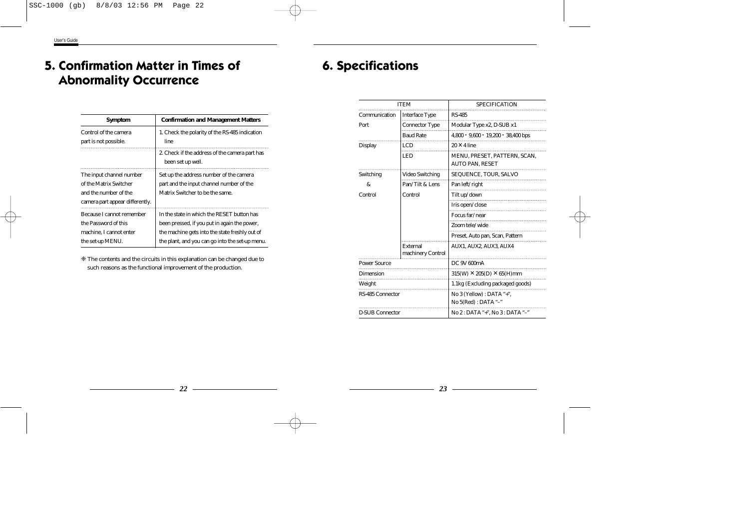## **5. Confirmation Matter in Times of Abnormality Occurrence**

| <b>Symptom</b>                                                                                                 | <b>Confirmation and Management Matters</b>                                                                                                                                                      |  |
|----------------------------------------------------------------------------------------------------------------|-------------------------------------------------------------------------------------------------------------------------------------------------------------------------------------------------|--|
| Control of the camera<br>part is not possible.                                                                 | 1. Check the polarity of the RS-485 indication<br>line                                                                                                                                          |  |
|                                                                                                                | 2. Check if the address of the camera part has<br>been set up well.                                                                                                                             |  |
| The input channel number<br>of the Matrix Switcher<br>and the number of the<br>camera part appear differently. | Set up the address number of the camera<br>part and the input channel number of the<br>Matrix Switcher to be the same.                                                                          |  |
| Because I cannot remember<br>the Password of this<br>machine. I cannot enter<br>the set-up MENU.               | In the state in which the RESET button has<br>been pressed, if you put in again the power,<br>the machine gets into the state freshly out of<br>the plant, and you can go into the set-up menu. |  |

❈ The contents and the circuits in this explanation can be changed due to such reasons as the functional improvement of the production.

## **6. Specifications**

| <b>ITEM</b>            |                               | <b>SPECIFICATION</b>                              |
|------------------------|-------------------------------|---------------------------------------------------|
|                        |                               |                                                   |
| Communication          | <b>Interface Type</b>         | <b>RS-485</b>                                     |
| Port                   | <b>Connector Type</b>         | Modular Type x2, D-SUB x1                         |
|                        | <b>Baud Rate</b>              | $4,800 \cdot 9,600 \cdot 19,200 \cdot 38,400$ bps |
| <b>Display</b>         | <b>LCD</b>                    | $20 \times 4$ line                                |
|                        | <b>LED</b>                    | MENU, PRESET, PATTERN, SCAN,                      |
|                        |                               | <b>AUTO PAN, RESET</b>                            |
| Switching              | <b>Video Switching</b>        | SEQUENCE, TOUR, SALVO                             |
| &                      | Pan/Tilt & Lens               | Pan left/right                                    |
| Control                | Control                       | Tilt up/down                                      |
|                        |                               | Iris open/close                                   |
|                        |                               | Focus far/near                                    |
|                        |                               | Zoom tele/wide                                    |
|                        |                               | Preset, Auto pan, Scan, Pattern                   |
|                        | External<br>machinery Control | <b>AUX1, AUX2, AUX3, AUX4</b>                     |
| <b>Power Source</b>    |                               | DC 9V 600mA                                       |
| <b>Dimension</b>       |                               | $315(W) \times 205(D) \times 65(H)$ mm            |
| Weight                 |                               | 1.1kg (Excluding packaged goods)                  |
| RS-485 Connector       |                               | No 3 (Yellow) : DATA "+".                         |
|                        |                               | No 5(Red) : DATA "-"                              |
| <b>D-SUB Connector</b> |                               | No 2 : DATA "+", No 3 : DATA "-"                  |